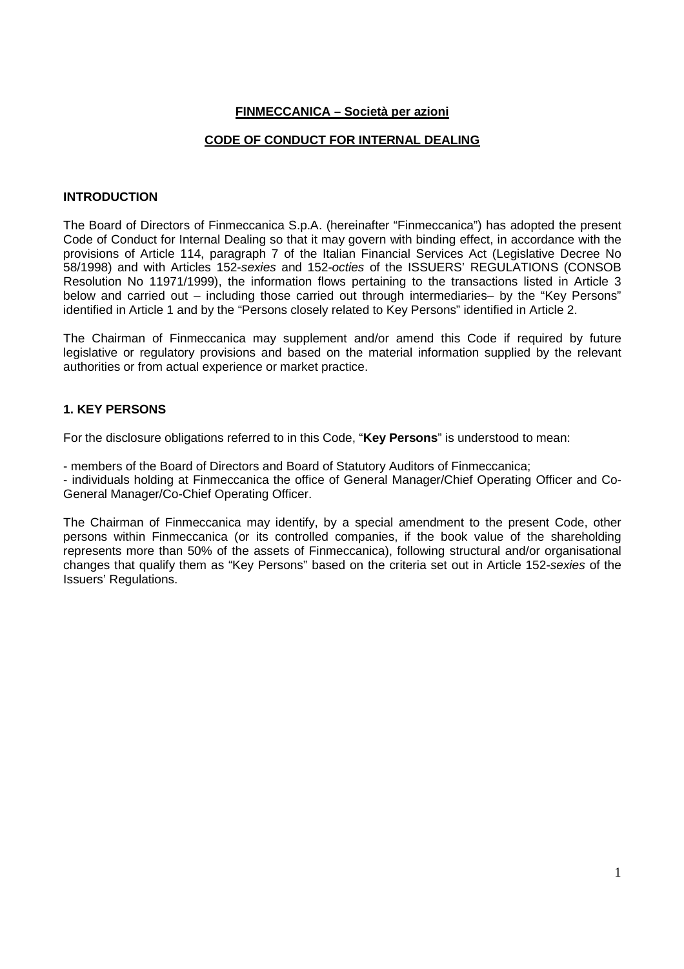# **FINMECCANICA – Società per azioni**

### **CODE OF CONDUCT FOR INTERNAL DEALING**

#### **INTRODUCTION**

The Board of Directors of Finmeccanica S.p.A. (hereinafter "Finmeccanica") has adopted the present Code of Conduct for Internal Dealing so that it may govern with binding effect, in accordance with the provisions of Article 114, paragraph 7 of the Italian Financial Services Act (Legislative Decree No 58/1998) and with Articles 152-sexies and 152-octies of the ISSUERS' REGULATIONS (CONSOB Resolution No 11971/1999), the information flows pertaining to the transactions listed in Article 3 below and carried out – including those carried out through intermediaries– by the "Key Persons" identified in Article 1 and by the "Persons closely related to Key Persons" identified in Article 2.

The Chairman of Finmeccanica may supplement and/or amend this Code if required by future legislative or regulatory provisions and based on the material information supplied by the relevant authorities or from actual experience or market practice.

## **1. KEY PERSONS**

For the disclosure obligations referred to in this Code, "**Key Persons**" is understood to mean:

- members of the Board of Directors and Board of Statutory Auditors of Finmeccanica;

- individuals holding at Finmeccanica the office of General Manager/Chief Operating Officer and Co-General Manager/Co-Chief Operating Officer.

The Chairman of Finmeccanica may identify, by a special amendment to the present Code, other persons within Finmeccanica (or its controlled companies, if the book value of the shareholding represents more than 50% of the assets of Finmeccanica), following structural and/or organisational changes that qualify them as "Key Persons" based on the criteria set out in Article 152-sexies of the Issuers' Regulations.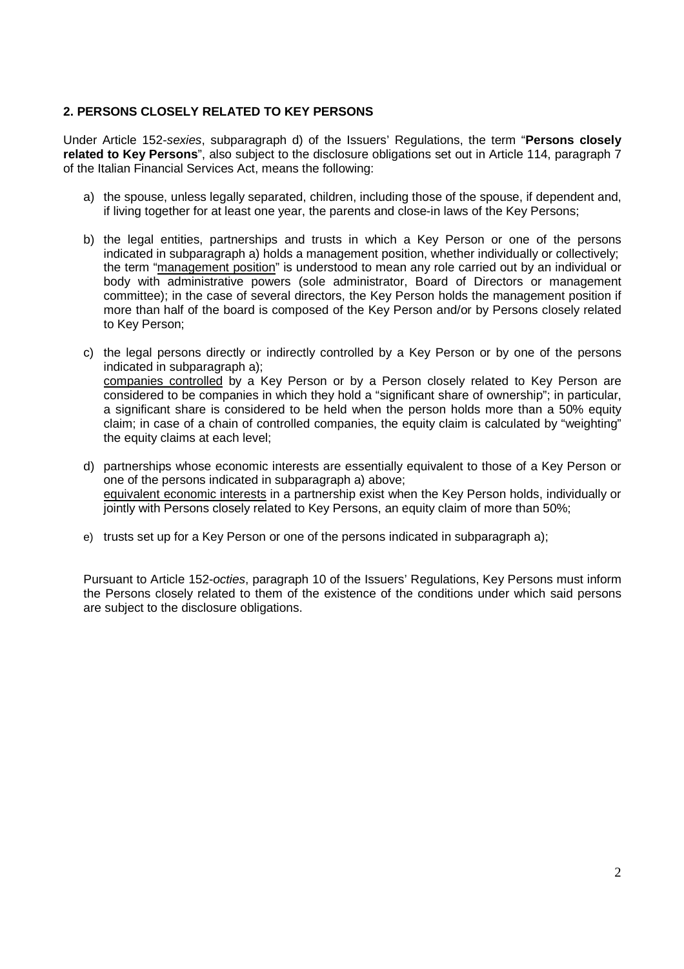# **2. PERSONS CLOSELY RELATED TO KEY PERSONS**

Under Article 152-sexies, subparagraph d) of the Issuers' Regulations, the term "**Persons closely related to Key Persons**", also subject to the disclosure obligations set out in Article 114, paragraph 7 of the Italian Financial Services Act, means the following:

- a) the spouse, unless legally separated, children, including those of the spouse, if dependent and, if living together for at least one year, the parents and close-in laws of the Key Persons;
- b) the legal entities, partnerships and trusts in which a Key Person or one of the persons indicated in subparagraph a) holds a management position, whether individually or collectively; the term "management position" is understood to mean any role carried out by an individual or body with administrative powers (sole administrator, Board of Directors or management committee); in the case of several directors, the Key Person holds the management position if more than half of the board is composed of the Key Person and/or by Persons closely related to Key Person;
- c) the legal persons directly or indirectly controlled by a Key Person or by one of the persons indicated in subparagraph a); companies controlled by a Key Person or by a Person closely related to Key Person are considered to be companies in which they hold a "significant share of ownership"; in particular, a significant share is considered to be held when the person holds more than a 50% equity claim; in case of a chain of controlled companies, the equity claim is calculated by "weighting" the equity claims at each level;
- d) partnerships whose economic interests are essentially equivalent to those of a Key Person or one of the persons indicated in subparagraph a) above; equivalent economic interests in a partnership exist when the Key Person holds, individually or jointly with Persons closely related to Key Persons, an equity claim of more than 50%;
- e) trusts set up for a Key Person or one of the persons indicated in subparagraph a);

Pursuant to Article 152-octies, paragraph 10 of the Issuers' Regulations, Key Persons must inform the Persons closely related to them of the existence of the conditions under which said persons are subject to the disclosure obligations.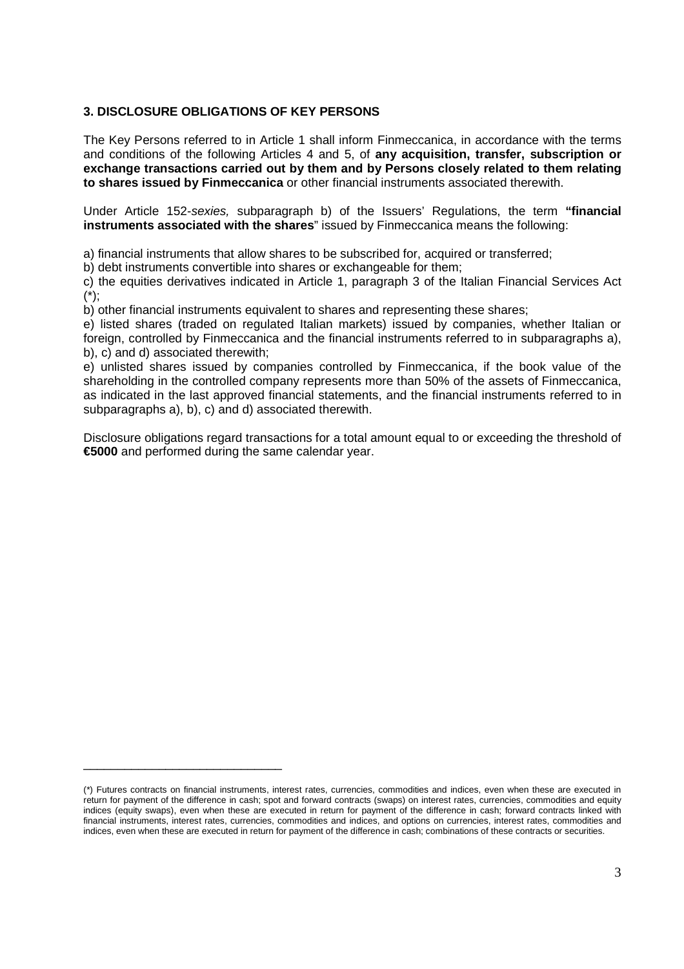# **3. DISCLOSURE OBLIGATIONS OF KEY PERSONS**

The Key Persons referred to in Article 1 shall inform Finmeccanica, in accordance with the terms and conditions of the following Articles 4 and 5, of **any acquisition, transfer, subscription or exchange transactions carried out by them and by Persons closely related to them relating to shares issued by Finmeccanica** or other financial instruments associated therewith.

Under Article 152-sexies, subparagraph b) of the Issuers' Regulations, the term **"financial instruments associated with the shares**" issued by Finmeccanica means the following:

a) financial instruments that allow shares to be subscribed for, acquired or transferred;

b) debt instruments convertible into shares or exchangeable for them;

c) the equities derivatives indicated in Article 1, paragraph 3 of the Italian Financial Services Act (\*);

b) other financial instruments equivalent to shares and representing these shares;

e) listed shares (traded on regulated Italian markets) issued by companies, whether Italian or foreign, controlled by Finmeccanica and the financial instruments referred to in subparagraphs a), b), c) and d) associated therewith;

e) unlisted shares issued by companies controlled by Finmeccanica, if the book value of the shareholding in the controlled company represents more than 50% of the assets of Finmeccanica, as indicated in the last approved financial statements, and the financial instruments referred to in subparagraphs a), b), c) and d) associated therewith.

Disclosure obligations regard transactions for a total amount equal to or exceeding the threshold of **€5000** and performed during the same calendar year.

\_\_\_\_\_\_\_\_\_\_\_\_\_\_\_\_\_\_\_\_\_\_\_\_\_\_\_\_\_

<sup>(\*)</sup> Futures contracts on financial instruments, interest rates, currencies, commodities and indices, even when these are executed in return for payment of the difference in cash; spot and forward contracts (swaps) on interest rates, currencies, commodities and equity indices (equity swaps), even when these are executed in return for payment of the difference in cash; forward contracts linked with financial instruments, interest rates, currencies, commodities and indices, and options on currencies, interest rates, commodities and indices, even when these are executed in return for payment of the difference in cash; combinations of these contracts or securities.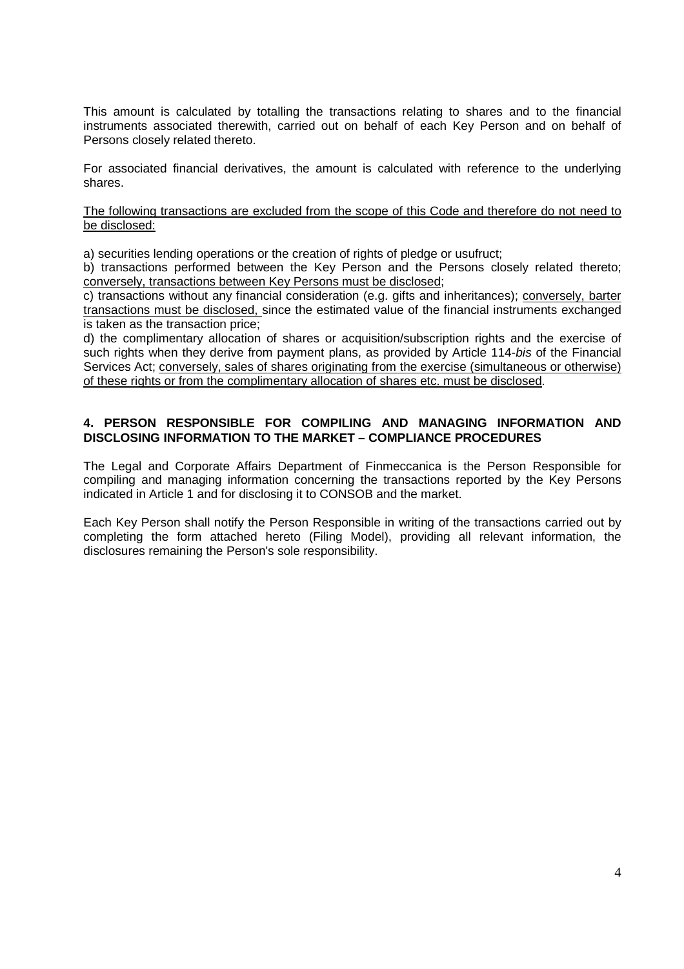This amount is calculated by totalling the transactions relating to shares and to the financial instruments associated therewith, carried out on behalf of each Key Person and on behalf of Persons closely related thereto.

For associated financial derivatives, the amount is calculated with reference to the underlying shares.

The following transactions are excluded from the scope of this Code and therefore do not need to be disclosed:

a) securities lending operations or the creation of rights of pledge or usufruct;

b) transactions performed between the Key Person and the Persons closely related thereto; conversely, transactions between Key Persons must be disclosed;

c) transactions without any financial consideration (e.g. gifts and inheritances); conversely, barter transactions must be disclosed, since the estimated value of the financial instruments exchanged is taken as the transaction price;

d) the complimentary allocation of shares or acquisition/subscription rights and the exercise of such rights when they derive from payment plans, as provided by Article 114-bis of the Financial Services Act; conversely, sales of shares originating from the exercise (simultaneous or otherwise) of these rights or from the complimentary allocation of shares etc. must be disclosed.

### **4. PERSON RESPONSIBLE FOR COMPILING AND MANAGING INFORMATION AND DISCLOSING INFORMATION TO THE MARKET – COMPLIANCE PROCEDURES**

The Legal and Corporate Affairs Department of Finmeccanica is the Person Responsible for compiling and managing information concerning the transactions reported by the Key Persons indicated in Article 1 and for disclosing it to CONSOB and the market.

Each Key Person shall notify the Person Responsible in writing of the transactions carried out by completing the form attached hereto (Filing Model), providing all relevant information, the disclosures remaining the Person's sole responsibility.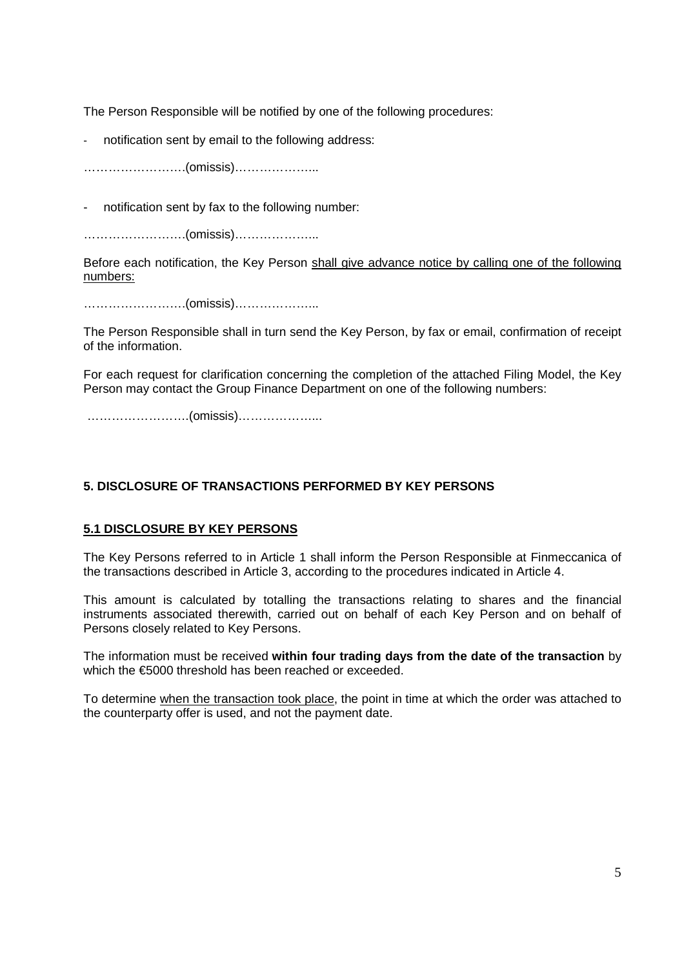The Person Responsible will be notified by one of the following procedures:

notification sent by email to the following address:

…………………….(omissis)………………...

notification sent by fax to the following number:

…………………….(omissis)………………...

Before each notification, the Key Person shall give advance notice by calling one of the following numbers:

…………………….(omissis)………………...

The Person Responsible shall in turn send the Key Person, by fax or email, confirmation of receipt of the information.

For each request for clarification concerning the completion of the attached Filing Model, the Key Person may contact the Group Finance Department on one of the following numbers:

…………………….(omissis)………………...

# **5. DISCLOSURE OF TRANSACTIONS PERFORMED BY KEY PERSONS**

# **5.1 DISCLOSURE BY KEY PERSONS**

The Key Persons referred to in Article 1 shall inform the Person Responsible at Finmeccanica of the transactions described in Article 3, according to the procedures indicated in Article 4.

This amount is calculated by totalling the transactions relating to shares and the financial instruments associated therewith, carried out on behalf of each Key Person and on behalf of Persons closely related to Key Persons.

The information must be received **within four trading days from the date of the transaction** by which the €5000 threshold has been reached or exceeded.

To determine when the transaction took place, the point in time at which the order was attached to the counterparty offer is used, and not the payment date.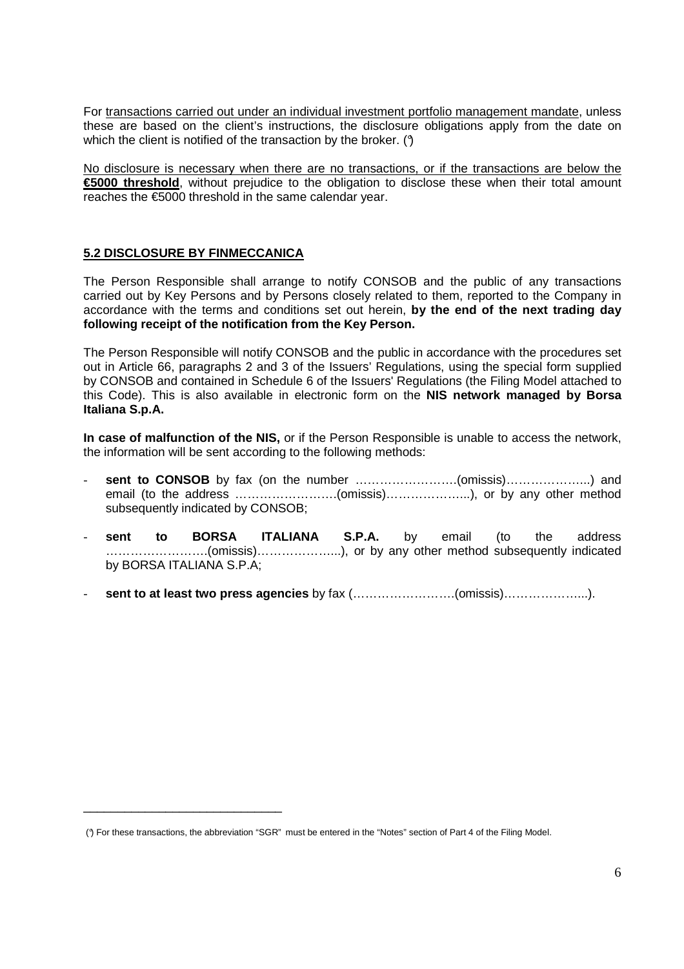For transactions carried out under an individual investment portfolio management mandate, unless these are based on the client's instructions, the disclosure obligations apply from the date on which the client is notified of the transaction by the broker. (9)

No disclosure is necessary when there are no transactions, or if the transactions are below the **€5000 threshold**, without prejudice to the obligation to disclose these when their total amount reaches the €5000 threshold in the same calendar year.

# **5.2 DISCLOSURE BY FINMECCANICA**

\_\_\_\_\_\_\_\_\_\_\_\_\_\_\_\_\_\_\_\_\_\_\_\_\_\_\_\_\_

The Person Responsible shall arrange to notify CONSOB and the public of any transactions carried out by Key Persons and by Persons closely related to them, reported to the Company in accordance with the terms and conditions set out herein, **by the end of the next trading day following receipt of the notification from the Key Person.** 

The Person Responsible will notify CONSOB and the public in accordance with the procedures set out in Article 66, paragraphs 2 and 3 of the Issuers' Regulations, using the special form supplied by CONSOB and contained in Schedule 6 of the Issuers' Regulations (the Filing Model attached to this Code). This is also available in electronic form on the **NIS network managed by Borsa Italiana S.p.A.** 

**In case of malfunction of the NIS,** or if the Person Responsible is unable to access the network, the information will be sent according to the following methods:

- **sent to CONSOB** by fax (on the number …………………….(omissis)………………...) and email (to the address …………………….(omissis)………………...), or by any other method subsequently indicated by CONSOB;
- **sent to BORSA ITALIANA S.P.A.** by email (to the address …………………….(omissis)………………...), or by any other method subsequently indicated by BORSA ITALIANA S.P.A;
- **sent to at least two press agencies** by fax (…………………….(omissis)………………...).

 <sup>(°)</sup> For these transactions, the abbreviation "SGR" must be entered in the "Notes" section of Part 4 of the Filing Model.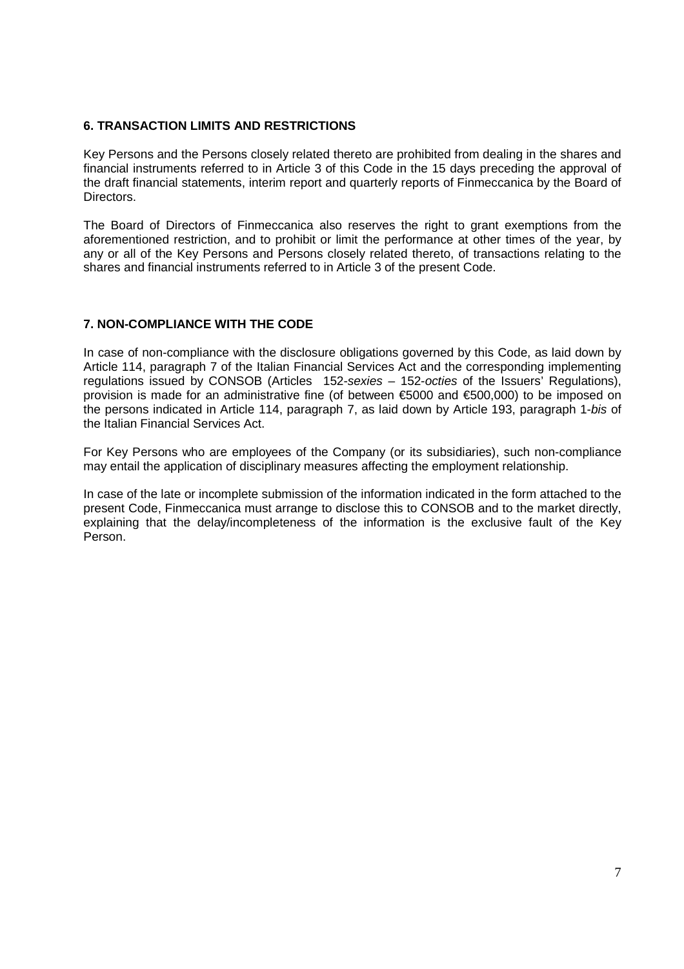## **6. TRANSACTION LIMITS AND RESTRICTIONS**

Key Persons and the Persons closely related thereto are prohibited from dealing in the shares and financial instruments referred to in Article 3 of this Code in the 15 days preceding the approval of the draft financial statements, interim report and quarterly reports of Finmeccanica by the Board of Directors.

The Board of Directors of Finmeccanica also reserves the right to grant exemptions from the aforementioned restriction, and to prohibit or limit the performance at other times of the year, by any or all of the Key Persons and Persons closely related thereto, of transactions relating to the shares and financial instruments referred to in Article 3 of the present Code.

# **7. NON-COMPLIANCE WITH THE CODE**

In case of non-compliance with the disclosure obligations governed by this Code, as laid down by Article 114, paragraph 7 of the Italian Financial Services Act and the corresponding implementing regulations issued by CONSOB (Articles 152-sexies – 152-octies of the Issuers' Regulations), provision is made for an administrative fine (of between €5000 and €500,000) to be imposed on the persons indicated in Article 114, paragraph 7, as laid down by Article 193, paragraph 1-bis of the Italian Financial Services Act.

For Key Persons who are employees of the Company (or its subsidiaries), such non-compliance may entail the application of disciplinary measures affecting the employment relationship.

In case of the late or incomplete submission of the information indicated in the form attached to the present Code, Finmeccanica must arrange to disclose this to CONSOB and to the market directly, explaining that the delay/incompleteness of the information is the exclusive fault of the Key Person.